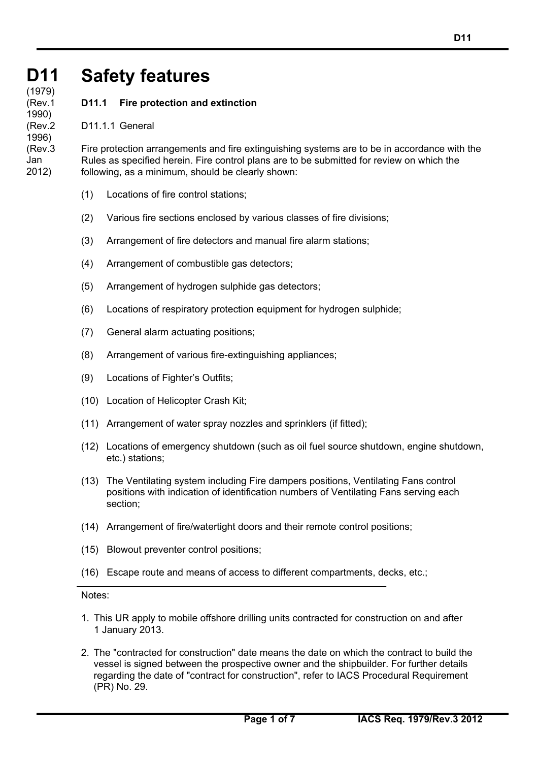### **D11 D11 (cont)** (1979) **Safety features**

**D11.1 Fire protection and extinction**

D11.1.1 General

(Rev.1 1990) (Rev.2 1996) (Rev.3 Jan 2012)

Fire protection arrangements and fire extinguishing systems are to be in accordance with the Rules as specified herein. Fire control plans are to be submitted for review on which the following, as a minimum, should be clearly shown:

- (1) Locations of fire control stations;
- (2) Various fire sections enclosed by various classes of fire divisions;
- (3) Arrangement of fire detectors and manual fire alarm stations;
- (4) Arrangement of combustible gas detectors;
- (5) Arrangement of hydrogen sulphide gas detectors;
- (6) Locations of respiratory protection equipment for hydrogen sulphide;
- (7) General alarm actuating positions;
- (8) Arrangement of various fire-extinguishing appliances;
- (9) Locations of Fighter's Outfits;
- (10) Location of Helicopter Crash Kit;
- (11) Arrangement of water spray nozzles and sprinklers (if fitted);
- (12) Locations of emergency shutdown (such as oil fuel source shutdown, engine shutdown, etc.) stations;
- (13) The Ventilating system including Fire dampers positions, Ventilating Fans control positions with indication of identification numbers of Ventilating Fans serving each section;
- (14) Arrangement of fire/watertight doors and their remote control positions;
- (15) Blowout preventer control positions;
- (16) Escape route and means of access to different compartments, decks, etc.;

Notes:

- 1. This UR apply to mobile offshore drilling units contracted for construction on and after 1 January 2013.
- 2. The "contracted for construction" date means the date on which the contract to build the vessel is signed between the prospective owner and the shipbuilder. For further details regarding the date of "contract for construction", refer to IACS Procedural Requirement (PR) No. 29.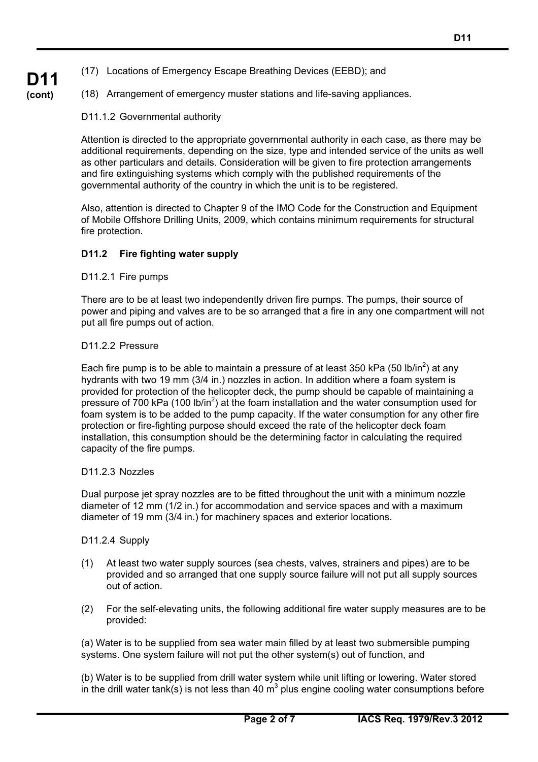- (17) Locations of Emergency Escape Breathing Devices (EEBD); and
- (18) Arrangement of emergency muster stations and life-saving appliances.

#### D11.1.2 Governmental authority

Attention is directed to the appropriate governmental authority in each case, as there may be additional requirements, depending on the size, type and intended service of the units as well as other particulars and details. Consideration will be given to fire protection arrangements and fire extinguishing systems which comply with the published requirements of the governmental authority of the country in which the unit is to be registered.

Also, attention is directed to Chapter 9 of the IMO Code for the Construction and Equipment of Mobile Offshore Drilling Units, 2009, which contains minimum requirements for structural fire protection.

#### **D11.2 Fire fighting water supply**

D11.2.1 Fire pumps

There are to be at least two independently driven fire pumps. The pumps, their source of power and piping and valves are to be so arranged that a fire in any one compartment will not put all fire pumps out of action.

#### D<sub>11.2.2</sub> Pressure

Each fire pump is to be able to maintain a pressure of at least 350 kPa (50 lb/in<sup>2</sup>) at any hydrants with two 19 mm (3/4 in.) nozzles in action. In addition where a foam system is provided for protection of the helicopter deck, the pump should be capable of maintaining a pressure of 700 kPa (100 lb/in<sup>2</sup>) at the foam installation and the water consumption used for foam system is to be added to the pump capacity. If the water consumption for any other fire protection or fire-fighting purpose should exceed the rate of the helicopter deck foam installation, this consumption should be the determining factor in calculating the required capacity of the fire pumps.

#### D11.2.3 Nozzles

Dual purpose jet spray nozzles are to be fitted throughout the unit with a minimum nozzle diameter of 12 mm (1/2 in.) for accommodation and service spaces and with a maximum diameter of 19 mm (3/4 in.) for machinery spaces and exterior locations.

#### D11.2.4 Supply

- (1) At least two water supply sources (sea chests, valves, strainers and pipes) are to be provided and so arranged that one supply source failure will not put all supply sources out of action.
- (2) For the self-elevating units, the following additional fire water supply measures are to be provided:

(a) Water is to be supplied from sea water main filled by at least two submersible pumping systems. One system failure will not put the other system(s) out of function, and

(b) Water is to be supplied from drill water system while unit lifting or lowering. Water stored in the drill water tank(s) is not less than 40  $m^3$  plus engine cooling water consumptions before

# **D11 (cont)**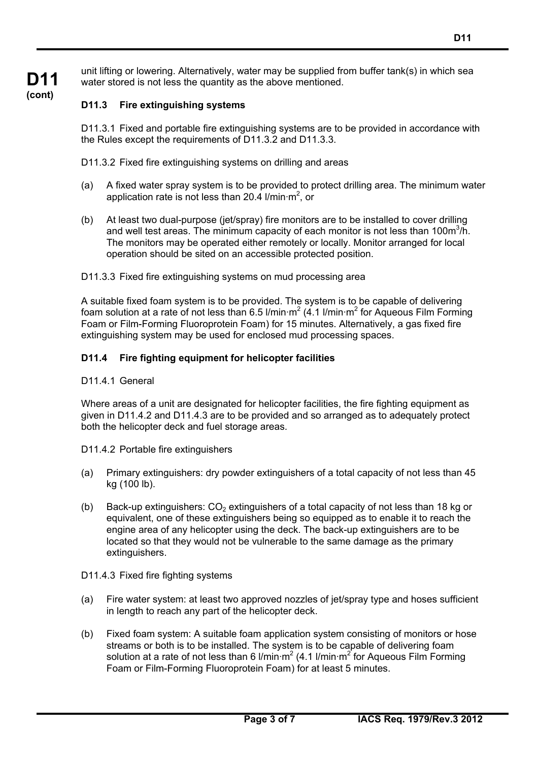unit lifting or lowering. Alternatively, water may be supplied from buffer tank(s) in which sea water stored is not less the quantity as the above mentioned.

# **D11.3 Fire extinguishing systems**

D11.3.1 Fixed and portable fire extinguishing systems are to be provided in accordance with the Rules except the requirements of D11.3.2 and D11.3.3.

D11.3.2 Fixed fire extinguishing systems on drilling and areas

- (a) A fixed water spray system is to be provided to protect drilling area. The minimum water application rate is not less than 20.4 l/min·m<sup>2</sup>, or
- (b) At least two dual-purpose (jet/spray) fire monitors are to be installed to cover drilling and well test areas. The minimum capacity of each monitor is not less than 100m $3/h$ . The monitors may be operated either remotely or locally. Monitor arranged for local operation should be sited on an accessible protected position.

# D11.3.3 Fixed fire extinguishing systems on mud processing area

A suitable fixed foam system is to be provided. The system is to be capable of delivering foam solution at a rate of not less than 6.5 l/min·m<sup>2</sup> (4.1 l/min·m<sup>2</sup> for Aqueous Film Forming Foam or Film-Forming Fluoroprotein Foam) for 15 minutes. Alternatively, a gas fixed fire extinguishing system may be used for enclosed mud processing spaces.

# **D11.4 Fire fighting equipment for helicopter facilities**

#### D11.4.1 General

Where areas of a unit are designated for helicopter facilities, the fire fighting equipment as given in D11.4.2 and D11.4.3 are to be provided and so arranged as to adequately protect both the helicopter deck and fuel storage areas.

- D11.4.2 Portable fire extinguishers
- (a) Primary extinguishers: dry powder extinguishers of a total capacity of not less than 45 kg (100 lb).
- (b) Back-up extinguishers:  $CO<sub>2</sub>$  extinguishers of a total capacity of not less than 18 kg or equivalent, one of these extinguishers being so equipped as to enable it to reach the engine area of any helicopter using the deck. The back-up extinguishers are to be located so that they would not be vulnerable to the same damage as the primary extinguishers.
- D11.4.3 Fixed fire fighting systems
- (a) Fire water system: at least two approved nozzles of jet/spray type and hoses sufficient in length to reach any part of the helicopter deck.
- (b) Fixed foam system: A suitable foam application system consisting of monitors or hose streams or both is to be installed. The system is to be capable of delivering foam solution at a rate of not less than 6 l/min·m<sup>2</sup> (4.1 l/min·m<sup>2</sup> for Aqueous Film Forming Foam or Film-Forming Fluoroprotein Foam) for at least 5 minutes.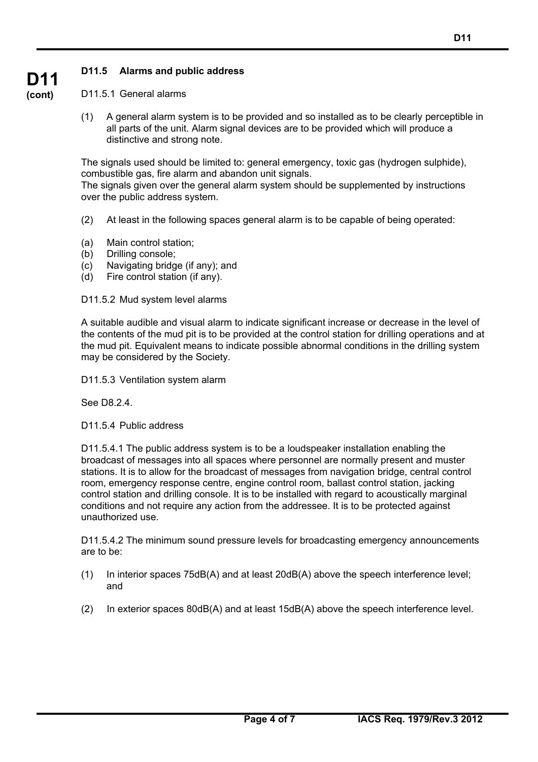# **D11.5 Alarms and public address**

#### D11.5.1 General alarms

(1) A general alarm system is to be provided and so installed as to be clearly perceptible in all parts of the unit. Alarm signal devices are to be provided which will produce a distinctive and strong note.

The signals used should be limited to: general emergency, toxic gas (hydrogen sulphide), combustible gas, fire alarm and abandon unit signals. The signals given over the general alarm system should be supplemented by instructions

over the public address system.

- (2) At least in the following spaces general alarm is to be capable of being operated:
- (a) Main control station;
- (b) Drilling console;
- (c) Navigating bridge (if any); and
- (d) Fire control station (if any).

D11.5.2 Mud system level alarms

A suitable audible and visual alarm to indicate significant increase or decrease in the level of the contents of the mud pit is to be provided at the control station for drilling operations and at the mud pit. Equivalent means to indicate possible abnormal conditions in the drilling system may be considered by the Society.

D11.5.3 Ventilation system alarm

See D8.2.4.

D11.5.4 Public address

D11.5.4.1 The public address system is to be a loudspeaker installation enabling the broadcast of messages into all spaces where personnel are normally present and muster stations. It is to allow for the broadcast of messages from navigation bridge, central control room, emergency response centre, engine control room, ballast control station, jacking control station and drilling console. It is to be installed with regard to acoustically marginal conditions and not require any action from the addressee. It is to be protected against unauthorized use.

D11.5.4.2 The minimum sound pressure levels for broadcasting emergency announcements are to be:

- (1) In interior spaces 75dB(A) and at least 20dB(A) above the speech interference level; and
- (2) In exterior spaces 80dB(A) and at least 15dB(A) above the speech interference level.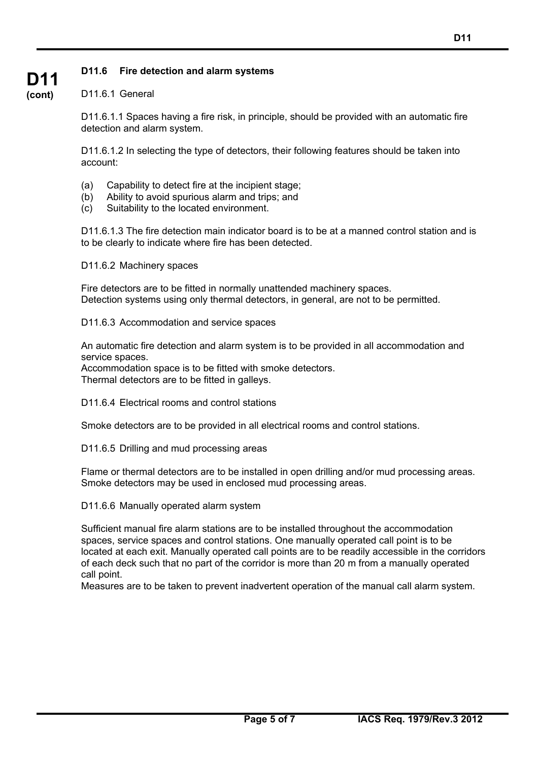# **D11.6 Fire detection and alarm systems**

### D11.6.1 General

**D11 (cont)**

> D11.6.1.1 Spaces having a fire risk, in principle, should be provided with an automatic fire detection and alarm system.

D11.6.1.2 In selecting the type of detectors, their following features should be taken into account:

- (a) Capability to detect fire at the incipient stage;
- (b) Ability to avoid spurious alarm and trips; and
- (c) Suitability to the located environment.

D11.6.1.3 The fire detection main indicator board is to be at a manned control station and is to be clearly to indicate where fire has been detected.

D11.6.2 Machinery spaces

Fire detectors are to be fitted in normally unattended machinery spaces. Detection systems using only thermal detectors, in general, are not to be permitted.

D11.6.3 Accommodation and service spaces

An automatic fire detection and alarm system is to be provided in all accommodation and service spaces.

Accommodation space is to be fitted with smoke detectors. Thermal detectors are to be fitted in galleys.

D11.6.4 Electrical rooms and control stations

Smoke detectors are to be provided in all electrical rooms and control stations.

D11.6.5 Drilling and mud processing areas

Flame or thermal detectors are to be installed in open drilling and/or mud processing areas. Smoke detectors may be used in enclosed mud processing areas.

D11.6.6 Manually operated alarm system

Sufficient manual fire alarm stations are to be installed throughout the accommodation spaces, service spaces and control stations. One manually operated call point is to be located at each exit. Manually operated call points are to be readily accessible in the corridors of each deck such that no part of the corridor is more than 20 m from a manually operated call point.

Measures are to be taken to prevent inadvertent operation of the manual call alarm system.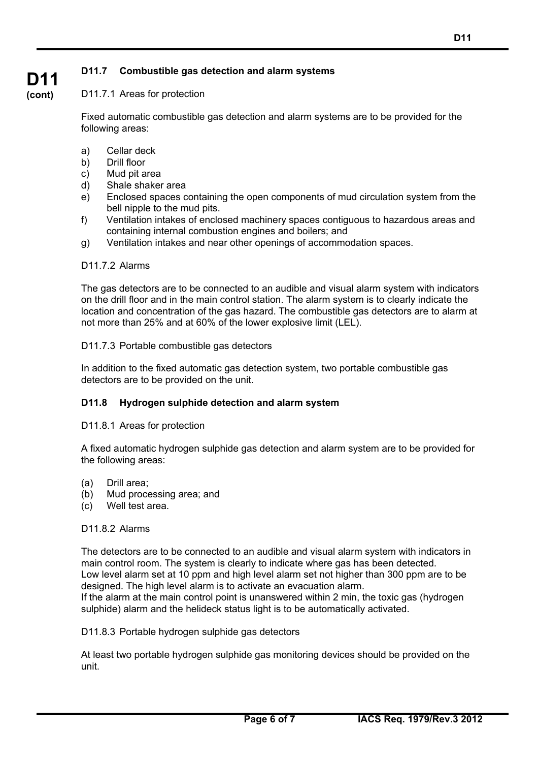# **D11.7 Combustible gas detection and alarm systems**

# D11.7.1 Areas for protection

Fixed automatic combustible gas detection and alarm systems are to be provided for the following areas:

- a) Cellar deck
- b) Drill floor

**D11 (cont)**

- c) Mud pit area
- d) Shale shaker area
- e) Enclosed spaces containing the open components of mud circulation system from the bell nipple to the mud pits.
- f) Ventilation intakes of enclosed machinery spaces contiguous to hazardous areas and containing internal combustion engines and boilers; and
- g) Ventilation intakes and near other openings of accommodation spaces.

#### D<sub>11.7.2</sub> Alarms

The gas detectors are to be connected to an audible and visual alarm system with indicators on the drill floor and in the main control station. The alarm system is to clearly indicate the location and concentration of the gas hazard. The combustible gas detectors are to alarm at not more than 25% and at 60% of the lower explosive limit (LEL).

#### D11.7.3 Portable combustible gas detectors

In addition to the fixed automatic gas detection system, two portable combustible gas detectors are to be provided on the unit.

# **D11.8 Hydrogen sulphide detection and alarm system**

#### D11.8.1 Areas for protection

A fixed automatic hydrogen sulphide gas detection and alarm system are to be provided for the following areas:

- (a) Drill area;
- (b) Mud processing area; and
- (c) Well test area.

#### D11.8.2 Alarms

The detectors are to be connected to an audible and visual alarm system with indicators in main control room. The system is clearly to indicate where gas has been detected. Low level alarm set at 10 ppm and high level alarm set not higher than 300 ppm are to be designed. The high level alarm is to activate an evacuation alarm.

If the alarm at the main control point is unanswered within 2 min, the toxic gas (hydrogen sulphide) alarm and the helideck status light is to be automatically activated.

#### D11.8.3 Portable hydrogen sulphide gas detectors

At least two portable hydrogen sulphide gas monitoring devices should be provided on the unit.